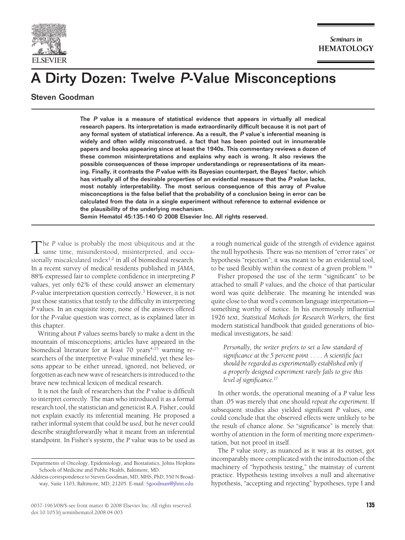

## A Dirty Dozen: Twelve P-Value Misconceptions

## Steven Goodman

The P value is a measure of statistical evidence that appears in virtually all medical research papers. Its interpretation is made extraordinarily difficult because it is not part of any formal system of statistical inference. As a result, the P value's inferential meaning is widely and often wildly misconstrued, a fact that has been pointed out in innumerable papers and books appearing since at least the 1940s. This commentary reviews a dozen of these common misinterpretations and explains why each is wrong. It also reviews the possible consequences of these improper understandings or representations of its meaning. Finally, it contrasts the P value with its Bayesian counterpart, the Bayes' factor, which has virtually all of the desirable properties of an evidential measure that the P value lacks, most notably interpretability. The most serious consequence of this array of P-value misconceptions is the false belief that the probability of a conclusion being in error can be calculated from the data in a single experiment without reference to external evidence or the plausibility of the underlying mechanism.

Semin Hematol 45:135-140 © 2008 Elsevier Inc. All rights reserved.

The *P* value is probably the most ubiquitous and at the  $\perp$  same time, misunderstood, misinterpreted, and occasionally miscalculated index<sup>1,2</sup> in all of biomedical research. In a recent survey of medical residents published in *JAMA*, 88% expressed fair to complete confidence in interpreting *P* values, yet only 62% of these could answer an elementary *P*-value interpretation question correctly[.3](#page-4-0) However, it is not just those statistics that testify to the difficulty in interpreting *P* values. In an exquisite irony, none of the answers offered for the *P*-value question was correct, as is explained later in this chapter.

Writing about *P* values seems barely to make a dent in the mountain of misconceptions; articles have appeared in the biomedical literature for at least 70 years $4-15$  warning researchers of the interpretive *P*-value minefield, yet these lessons appear to be either unread, ignored, not believed, or forgotten as each new wave of researchers is introduced to the brave new technical lexicon of medical research.

It is not the fault of researchers that the *P* value is difficult to interpret correctly. The man who introduced it as a formal research tool, the statistician and geneticist R.A. Fisher, could not explain exactly its inferential meaning. He proposed a rather informal system that could be *used*, but he never could describe straightforwardly what it meant from an inferential standpoint. In Fisher's system, the *P* value was to be used as

Address correspondence to Steven Goodman, MD, MHS, PhD, 550 N Broadway, Suite 1103, Baltimore, MD, 21205. E-mail: [Sgoodman@jhmi.edu](mailto:Sgoodman@jhmi.edu)

a rough numerical guide of the strength of evidence against the null hypothesis. There was no mention of "error rates" or hypothesis "rejection"; it was meant to be an evidential tool, to be used flexibly within the context of a given problem[.16](#page-5-0)

Fisher proposed the use of the term "significant" to be attached to small *P* values, and the choice of that particular word was quite deliberate. The meaning he intended was quite close to that word's common language interpretation something worthy of notice. In his enormously influential 1926 text, *Statistical Methods for Research Workers,* the first modern statistical handbook that guided generations of biomedical investigators, he said:

*Personally, the writer prefers to set a low standard of significance at the 5 percent point* . . . *. A scientific fact should beregarded asexperimentally established only if a properly designed experiment rarely fails to give this level of significance[.17](#page-5-0)*

In other words, the operational meaning of a *P* value less than .05 was merely that one should *repeat the experiment*. If subsequent studies also yielded significant *P* values, one could conclude that the observed effects were unlikely to be the result of chance alone. So "significance" is merely that: worthy of attention in the form of meriting more experimentation, but not proof in itself.

The *P* value story, as nuanced as it was at its outset, got incomparably more complicated with the introduction of the machinery of "hypothesis testing," the mainstay of current practice. Hypothesis testing involves a null and alternative hypothesis, "accepting and rejecting" hypotheses, type I and

Departments of Oncology, Epidemiology, and Biostatistics, Johns Hopkins Schools of Medicine and Public Health, Baltimore, MD.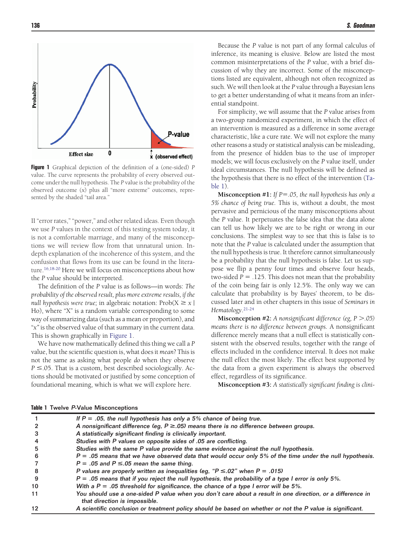

**Figure 1** Graphical depiction of the definition of a (one-sided) *P* value. The curve represents the probability of every observed outcome under the null hypothesis. The *P* value is the probability of the observed outcome (x) plus all "more extreme" outcomes, represented by the shaded "tail area."

II "error rates," "power," and other related ideas. Even though we use *P* values in the context of this testing system today, it is not a comfortable marriage, and many of the misconceptions we will review flow from that unnatural union. Indepth explanation of the incoherence of this system, and the confusion that flows from its use can be found in the literature.<sup>16,18-20</sup> Here we will focus on misconceptions about how the *P* value should be interpreted.

The definition of the *P* value is as follows—in words: *The probability of the observed result, plus more extreme results, if the null hypothesis were true;* in algebraic notation:  $Prob(X \geq x | X)$ Ho), where "X" is a random variable corresponding to some way of summarizing data (such as a mean or proportion), and "*x"* is the observed value of that summary in the current data. This is shown graphically in Figure 1.

We have now mathematically defined this thing we call a *P* value, but the scientific question is, what does it *mean*? This is not the same as asking what people *do* when they observe  $P \leq 0.05$ . That is a custom, best described sociologically. Actions should be motivated or justified by some conception of foundational meaning, which is what we will explore here.

Because the *P* value is not part of any formal calculus of inference, its meaning is elusive. Below are listed the most common misinterpretations of the *P* value, with a brief discussion of why they are incorrect. Some of the misconceptions listed are equivalent, although not often recognized as such. We will then look at the *P* value through a Bayesian lens to get a better understanding of what it means from an inferential standpoint.

For simplicity, we will assume that the *P* value arises from a two-group randomized experiment, in which the effect of an intervention is measured as a difference in some average characteristic, like a cure rate. We will not explore the many other reasons a study or statistical analysis can be misleading, from the presence of hidden bias to the use of improper models; we will focus exclusively on the *P* value itself, under ideal circumstances. The null hypothesis will be defined as the hypothesis that there is no effect of the intervention (Table 1).

**Misconception #1:** *If P.05, the null hypothesis has only a 5% chance of being true.* This is, without a doubt, the most pervasive and pernicious of the many misconceptions about the *P* value. It perpetuates the false idea that the data alone can tell us how likely we are to be right or wrong in our conclusions. The simplest way to see that this is false is to note that the *P* value is calculated under the assumption that the null hypothesis is true. It therefore cannot simultaneously be a probability that the null hypothesis is false. Let us suppose we flip a penny four times and observe four heads, two-sided  $P = .125$ . This does not mean that the probability of the coin being fair is only 12.5%. The only way we can calculate that probability is by Bayes' theorem, to be discussed later and in other chapters in this issue of *Seminars in Hematology*. [21-24](#page-5-0)

Misconception #2: A nonsignificant difference (eg, P > .05) *means there is no difference between groups.* A nonsignificant difference merely means that a null effect is statistically consistent with the observed results, together with the range of effects included in the confidence interval. It does not make the null effect the most likely. The effect best supported by the data from a given experiment is always the observed effect, regardless of its significance.

**Misconception #3:** *A statistically significant finding is clini-*

|    | If $P = .05$ , the null hypothesis has only a 5% chance of being true.                                                                      |
|----|---------------------------------------------------------------------------------------------------------------------------------------------|
|    | A nonsignificant difference (eg, $P \ge 0.05$ ) means there is no difference between groups.                                                |
|    | A statistically significant finding is clinically important.                                                                                |
|    | Studies with P values on opposite sides of .05 are conflicting.                                                                             |
| 5  | Studies with the same P value provide the same evidence against the null hypothesis.                                                        |
| 6  | $P = .05$ means that we have observed data that would occur only 5% of the time under the null hypothesis.                                  |
|    | $P = .05$ and $P \le .05$ mean the same thing.                                                                                              |
| 8  | P values are properly written as inequalities (eq. " $P \le 0.02$ " when $P = 0.015$ )                                                      |
| -9 | $P = 0.05$ means that if you reject the null hypothesis, the probability of a type I error is only 5%.                                      |
| 10 | With a $P = 0.05$ threshold for significance, the chance of a type I error will be 5%.                                                      |
| 11 | You should use a one-sided P value when you don't care about a result in one direction, or a difference in<br>that direction is impossible. |
| 12 | A scientific conclusion or treatment policy should be based on whether or not the P value is significant.                                   |

## **Table 1** Twelve <sup>P</sup>-Value Misconceptions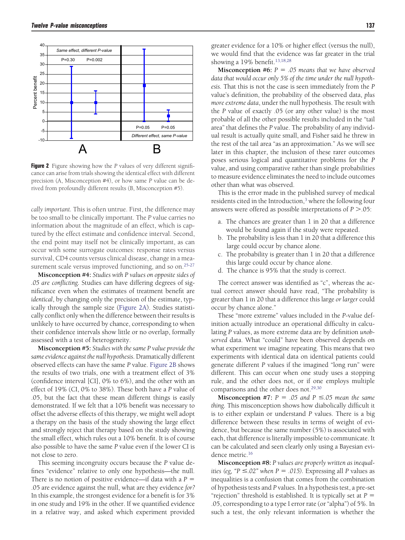

**Figure 2** Figure showing how the *P* values of very different significance can arise from trials showing the identical effect with different precision (A, Misconception #4), or how same *P* value can be derived from profoundly different results (B, Misconception #5).

*cally important.* This is often untrue. First, the difference may be too small to be clinically important. The *P* value carries no information about the magnitude of an effect, which is captured by the effect estimate and confidence interval. Second, the end point may itself not be clinically important, as can occur with some surrogate outcomes: response rates versus survival, CD4 counts versus clinical disease, change in a measurement scale versus improved functioning, and so on.<sup>25-27</sup>

**Misconception #4:** *Studies with P values on opposite sides of .05 are conflicting.* Studies can have differing degrees of significance even when the estimates of treatment benefit are *identical*, by changing only the precision of the estimate, typically through the sample size (Figure 2A). Studies statistically conflict only when the difference between their results is unlikely to have occurred by chance, corresponding to when their confidence intervals show little or no overlap, formally assessed with a test of heterogeneity.

**Misconception #5:** *Studies with the same P value provide the same evidence against the null hypothesis.*Dramatically different observed effects can have the same *P* value. Figure 2B shows the results of two trials, one with a treatment effect of 3% (confidence interval [CI], 0% to 6%), and the other with an effect of 19% (CI, 0% to 38%). These both have a *P* value of .05, but the fact that these mean different things is easily demonstrated. If we felt that a 10% benefit was necessary to offset the adverse effects of this therapy, we might well adopt a therapy on the basis of the study showing the large effect and strongly reject that therapy based on the study showing the small effect, which rules out a 10% benefit. It is of course also possible to have the same *P* value even if the lower CI is not close to zero.

This seeming incongruity occurs because the *P* value defines "evidence" relative to only one hypothesis—the null. There is no notion of positive evidence—if data with a  $P =$ .05 are evidence against the null, what are they evidence *for?* In this example, the strongest evidence for a benefit is for 3% in one study and 19% in the other. If we quantified evidence in a relative way, and asked which experiment provided

**Misconception #6:**  $P = .05$  means that we have observed *data that would occur only 5% of the time under the null hypothesis.* That this is not the case is seen immediately from the *P* value's definition, the probability of the observed data, *plus more extreme data*, under the null hypothesis. The result with the *P* value of exactly .05 (or any other value) is the most probable of all the other possible results included in the "tail area" that defines the *P* value. The probability of any individual result is actually quite small, and Fisher said he threw in the rest of the tail area "as an approximation." As we will see later in this chapter, the inclusion of these rarer outcomes poses serious logical and quantitative problems for the *P* value, and using comparative rather than single probabilities to measure evidence eliminates the need to include outcomes other than what was observed.

This is the error made in the published survey of medical residents cited in the Introduction,<sup>3</sup> where the following four answers were offered as possible interpretations of  $P > 0.05$ :

- a. The chances are greater than 1 in 20 that a difference would be found again if the study were repeated.
- b. The probability is less than 1 in 20 that a difference this large could occur by chance alone.
- c. The probability is greater than 1 in 20 that a difference this large could occur by chance alone.
- d. The chance is 95% that the study is correct.

The correct answer was identified as "c", whereas the actual correct answer should have read, "The probability is greater than 1 in 20 that a difference this large *or larger* could occur by chance alone."

These "more extreme" values included in the *P*-value definition actually introduce an operational difficulty in calculating *P* values, as more extreme data are by definition *unobserved* data. What "could" have been observed depends on what experiment we imagine repeating. This means that two experiments with identical data on identical patients could generate different *P* values if the imagined "long run" were different. This can occur when one study uses a stopping rule, and the other does not, or if one employs multiple comparisons and the other does not[.29,30](#page-5-0)

**Misconception #7:**  $P = .05$  and  $P \le 0.05$  mean the same *thing.* This misconception shows how diabolically difficult it is to either explain or understand *P* values. There is a big difference between these results in terms of weight of evidence, but because the same number (5%) is associated with each, that difference is literally impossible to communicate. It can be calculated and seen clearly only using a Bayesian evidence metric[.16](#page-5-0)

**Misconception #8:** *P values are properly written as inequalities (eg, "P*  $\leq$  *.02" when P* = *.015).* Expressing all *P* values as inequalities is a confusion that comes from the combination of hypothesis tests and *P* values. In a hypothesis test, a pre-set "rejection" threshold is established. It is typically set at  $P =$ .05, corresponding to a type I error rate (or "alpha") of 5%. In such a test, the only relevant information is whether the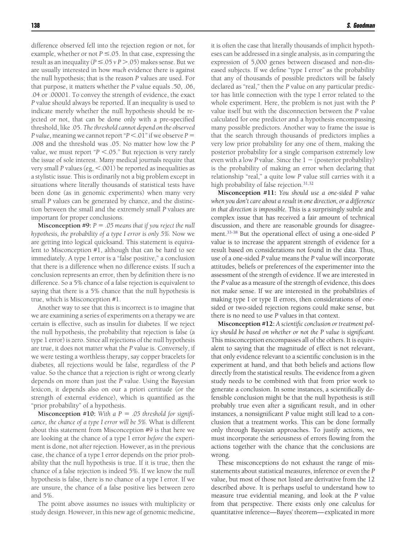difference observed fell into the rejection region or not, for example, whether or not  $P \leq 0.05$ . In that case, expressing the result as an inequality ( $P \le 0.05$  v  $P > 0.05$ ) makes sense. But we are usually interested in how *much* evidence there is against the null hypothesis; that is the reason *P* values are used. For that purpose, it matters whether the *P* value equals .50, .06, .04 or .00001. To convey the strength of evidence, the exact *P* value should always be reported. If an inequality is used to indicate merely whether the null hypothesis should be rejected or not, that can be done only with a pre-specified threshold, like .05. *The threshold cannot depend on the observed P* value, meaning we cannot report " $P < 0.01$ " if we observe  $P =$ .008 and the threshold was .05. No matter how low the *P* value, we must report " $P < 0.05$ ." But rejection is very rarely the issue of sole interest. Many medical journals require that very small *P* values (eg, <.001) be reported as inequalities as a stylistic issue. This is ordinarily not a big problem except in situations where literally thousands of statistical tests have been done (as in genomic experiments) when many very small *P* values can be generated by chance, and the distinction between the small and the extremely small *P* values are important for proper conclusions.

**Misconception #9:**  $P = .05$  means that if you reject the null *hypothesis, the probability of a type I error is only 5%.* Now we are getting into logical quicksand. This statement is equivalent to Misconception #1, although that can be hard to see immediately. A type I error is a "false positive," a conclusion that there is a difference when no difference exists. If such a conclusion represents an error, then by definition there is no difference. So a 5% chance of a false rejection is equivalent to saying that there is a 5% chance that the null hypothesis is true, which is Misconception #1.

Another way to see that this is incorrect is to imagine that we are examining a series of experiments on a therapy we are certain is effective, such as insulin for diabetes. If we reject the null hypothesis, the probability that rejection is false (a type 1 error) is zero. Since all rejections of the null hypothesis are true, it does not matter what the *P* value is. Conversely, if we were testing a worthless therapy, say copper bracelets for diabetes, all rejections would be false, regardless of the *P* value. So the chance that a rejection is right or wrong clearly depends on more than just the *P* value. Using the Bayesian lexicon, it depends also on our a priori certitude (or the strength of external evidence), which is quantified as the "prior probability" of a hypothesis.

**Misconception #10:** With  $a P = .05$  threshold for signifi*cance, the chance of a type I error will be 5%.* What is different about this statement from Misconception #9 is that here we are looking at the chance of a type I error *before* the experiment is done, not after rejection. However, as in the previous case, the chance of a type I error depends on the prior probability that the null hypothesis is true. If it is true, then the chance of a false rejection is indeed 5%. If we know the null hypothesis is false, there is no chance of a type I error. If we are unsure, the chance of a false positive lies between zero and 5%.

The point above assumes no issues with multiplicity or study design. However, in this new age of genomic medicine,

it is often the case that literally thousands of implicit hypotheses can be addressed in a single analysis, as in comparing the expression of 5,000 genes between diseased and non-diseased subjects. If we define "type I error" as the probability that any of thousands of possible predictors will be falsely declared as "real," then the *P* value on any particular predictor has little connection with the type I error related to the whole experiment. Here, the problem is not just with the *P* value itself but with the disconnection between the *P* value calculated for one predictor and a hypothesis encompassing many possible predictors. Another way to frame the issue is that the search through thousands of predictors implies a very low prior probability for any one of them, making the posterior probability for a single comparison extremely low even with a low *P* value. Since the  $1 - (posterior probability)$ is the probability of making an error when declaring that relationship "real," a quite low *P* value still carries with it a high probability of false rejection[.31,32](#page-5-0)

**Misconception #11:** *You should use a one-sided P value when you don't care about a result in one direction, or a difference in that direction is impossible.* This is a surprisingly subtle and complex issue that has received a fair amount of technical discussion, and there are reasonable grounds for disagreement[.33-38](#page-5-0) But the operational effect of using a one-sided *P* value is to increase the apparent strength of evidence for a result based on considerations not found in the data. Thus, use of a one-sided *P* value means the *P* value will incorporate attitudes, beliefs or preferences of the experimenter into the assessment of the strength of evidence. If we are interested in the *P* value as a measure of the strength of evidence, this does not make sense. If we are interested in the probabilities of making type I or type II errors, then considerations of onesided or two-sided rejection regions could make sense, but there is no need to use *P* values in that context.

**Misconception #12:** *A scientific conclusion or treatment policy should be based on whether or not the P value is significant.* This misconception encompasses all of the others. It is equivalent to saying that the magnitude of effect is not relevant, that only evidence relevant to a scientific conclusion is in the experiment at hand, and that both beliefs and actions flow directly from the statistical results. The evidence from a given study needs to be combined with that from prior work to generate a conclusion. In some instances, a scientifically defensible conclusion might be that the null hypothesis is still probably true even after a significant result, and in other instances, a nonsignificant *P* value might still lead to a conclusion that a treatment works. This can be done formally only through Bayesian approaches. To justify actions, we must incorporate the seriousness of errors flowing from the actions together with the chance that the conclusions are wrong.

These misconceptions do not exhaust the range of misstatements about statistical measures, inference or even the *P* value, but most of those not listed are derivative from the 12 described above. It is perhaps useful to understand how to measure true evidential meaning, and look at the *P* value from that perspective. There exists only one calculus for quantitative inference—Bayes' theorem— explicated in more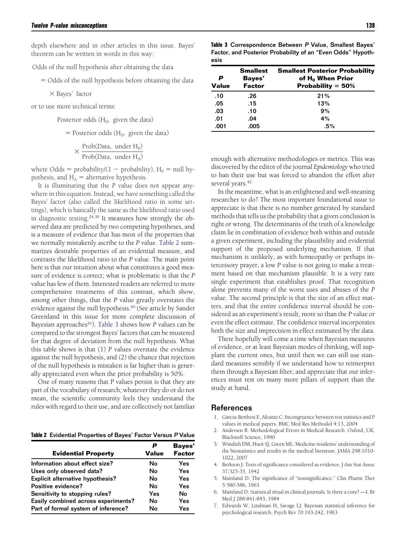<span id="page-4-0"></span>depth elsewhere and in other articles in this issue. Bayes' theorem can be written in words in this way:

Odds of the null hypothesis after obtaining the data

Odds of the null hypothesis before obtaining the data

Bayes' factor

or to use more technical terms:

Posterior odds  $(H_0, \text{ given the data})$ 

= Posterior odds  $(H_0, \text{ given the data})$ 

$$
\times \frac{\text{Prob}(Data, under H_0)}{\text{Prob}(Data, under H_A)}
$$

where Odds = probability/(1 - probability),  $H_0$  = null hypothesis, and  $H_A$  = alternative hypothesis.

It is illuminating that the *P* value does not appear anywhere in this equation. Instead, we have something called the Bayes' factor (also called the likelihood ratio in some settings), which is basically the same as the likelihood ratio used in diagnostic testing.<sup>24,39</sup> It measures how strongly the observed data are predicted by two competing hypotheses, and is a measure of evidence that has most of the properties that we normally mistakenly ascribe to the *P* value. Table 2 summarizes desirable properties of an evidential measure, and contrasts the likelihood ratio to the *P* value. The main point here is that our intuition about what constitutes a good measure of evidence is correct; what is problematic is that the *P* value has few of them. Interested readers are referred to more comprehensive treatments of this contrast, which show, among other things, that the *P* value greatly overstates the evidence against the null hypothesis.<sup>40</sup> (See article by Sander Greenland in this issue for more complete discussion of Bayesian approaches<sup>41</sup>). Table 3 shows how *P* values can be compared to the strongest Bayes' factors that can be mustered for that degree of deviation from the null hypothesis. What this table shows is that (1) *P* values overstate the evidence against the null hypothesis, and (2) the chance that rejection of the null hypothesis is mistaken is far higher than is generally appreciated even when the prior probability is 50%.

One of many reasons that *P* values persist is that they are part of the vocabulary of research; whatever they do or do not mean, the scientific community feels they understand the rules with regard to their use, and are collectively not familiar

**Table 2** Evidential Properties of Bayes' Factor Versus <sup>P</sup> Value

|                                     | P     | <b>Bayes'</b> |
|-------------------------------------|-------|---------------|
| <b>Evidential Property</b>          | Value | <b>Factor</b> |
| Information about effect size?      | No    | Yes           |
| Uses only observed data?            | N٥    | Yes           |
| Explicit alternative hypothesis?    | N٥    | Yes           |
| Positive evidence?                  | Nο    | Yes           |
| Sensitivity to stopping rules?      | Yes   | Nο            |
| Easily combined across experiments? | No    | Yes           |
| Part of formal system of inference? | Nο    | Yes           |

| P<br><b>Value</b> | <b>Smallest</b><br>Bayes'<br><b>Factor</b> | <b>Smallest Posterior Probability</b><br>of H <sub>0</sub> When Prior<br>Probability $=$ 50% |
|-------------------|--------------------------------------------|----------------------------------------------------------------------------------------------|
| .10               | .26                                        | 21%                                                                                          |
| .05               | .15                                        | 13%                                                                                          |
| .03               | .10                                        | 9%                                                                                           |
| .01               | .04                                        | 4%                                                                                           |
| .001              | .005                                       | .5%                                                                                          |

enough with alternative methodologies or metrics. This was discovered by the editor of the journal *Epidemiology* who tried to ban their use but was forced to abandon the effort after several years.<sup>42</sup>

In the meantime, what is an enlightened and well-meaning researcher to do? The most important foundational issue to appreciate is that there is no number generated by standard methods that tells us the probability that a given conclusion is right or wrong. The determinants of the truth of a knowledge claim lie in combination of evidence both within and outside a given experiment, including the plausibility and evidential support of the proposed underlying mechanism. If that mechanism is unlikely, as with homeopathy or perhaps intercessory prayer, a low *P* value is not going to make a treatment based on that mechanism plausible. It is a very rare single experiment that establishes proof. That recognition alone prevents many of the worst uses and abuses of the *P* value. The second principle is that the size of an effect matters, and that the entire confidence interval should be considered as an experiment's result, more so than the *P* value or even the effect estimate. The confidence interval incorporates both the size and imprecision in effect estimated by the data.

There hopefully will come a time when Bayesian measures of evidence, or at least Bayesian modes of thinking, will supplant the current ones, but until then we can still use standard measures sensibly if we understand how to reinterpret them through a Bayesian filter, and appreciate that our inferences must rest on many more pillars of support than the study at hand.

## References

- 1. Garcia-Berthou E, Alcaraz C: Incongruence between test statistics and P values in medical papers. BMC Med Res Methodol 4:13, 2004
- 2. Andersen B: Methodological Errors in Medical Research. Oxford, UK, Blackwell Science, 1990
- 3. Windish DM, Huot SJ, Green ML: Medicine residents' understanding of the biostatistics and results in the medical literature. JAMA 298:1010- 1022, 2007
- 4. Berkson J: Tests of significance considered as evidence. J Am Stat Assoc 37:325-35, 1942
- 5. Mainland D: The significance of "nonsignificance." Clin Pharm Ther 5:580-586, 1963
- 6. Mainland D: Statistical ritual in clinical journals: Is there a cure? —I. Br Med J 288:841-843, 1984
- 7. Edwards W, Lindman H, Savage LJ: Bayesian statistical inference for psychological research. Psych Rev 70:193-242, 1963